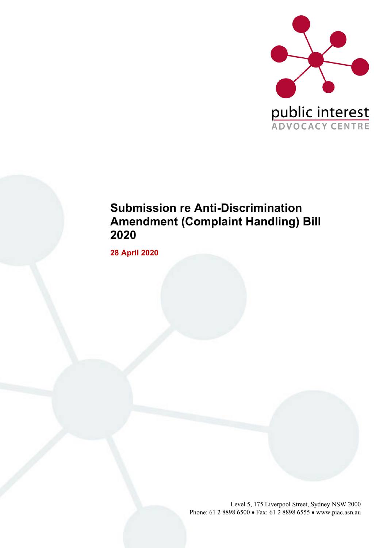

# **Submission re Anti-Discrimination Amendment (Complaint Handling) Bill 2020**

**28 April 2020**

Level 5, 175 Liverpool Street, Sydney NSW 2000 Phone: 61 2 8898 6500 • Fax: 61 2 8898 6555 • www.piac.asn.au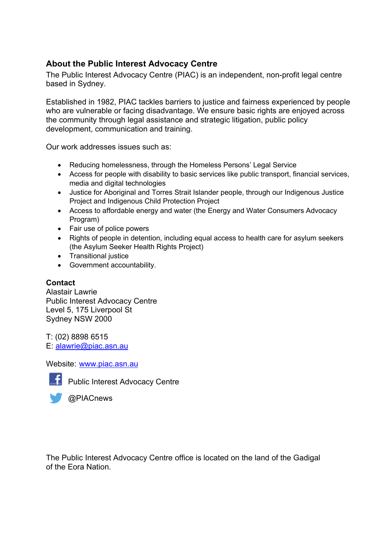#### **About the Public Interest Advocacy Centre**

The Public Interest Advocacy Centre (PIAC) is an independent, non-profit legal centre based in Sydney.

Established in 1982, PIAC tackles barriers to justice and fairness experienced by people who are vulnerable or facing disadvantage. We ensure basic rights are enjoyed across the community through legal assistance and strategic litigation, public policy development, communication and training.

Our work addresses issues such as:

- Reducing homelessness, through the Homeless Persons' Legal Service
- Access for people with disability to basic services like public transport, financial services, media and digital technologies
- Justice for Aboriginal and Torres Strait Islander people, through our Indigenous Justice Project and Indigenous Child Protection Project
- Access to affordable energy and water (the Energy and Water Consumers Advocacy Program)
- Fair use of police powers
- Rights of people in detention, including equal access to health care for asylum seekers (the Asylum Seeker Health Rights Project)
- Transitional justice
- Government accountability.

#### **Contact**

Alastair Lawrie Public Interest Advocacy Centre Level 5, 175 Liverpool St Sydney NSW 2000

T: (02) 8898 6515 E: alawrie@piac.asn.au

Website: www.piac.asn.au



**Public Interest Advocacy Centre** 

@PIACnews

The Public Interest Advocacy Centre office is located on the land of the Gadigal of the Eora Nation.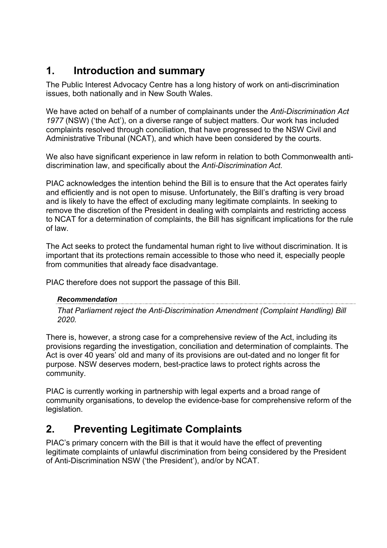## **1. Introduction and summary**

The Public Interest Advocacy Centre has a long history of work on anti-discrimination issues, both nationally and in New South Wales.

We have acted on behalf of a number of complainants under the *Anti-Discrimination Act 1977* (NSW) ('the Act'), on a diverse range of subject matters. Our work has included complaints resolved through conciliation, that have progressed to the NSW Civil and Administrative Tribunal (NCAT), and which have been considered by the courts.

We also have significant experience in law reform in relation to both Commonwealth antidiscrimination law, and specifically about the *Anti-Discrimination Act*.

PIAC acknowledges the intention behind the Bill is to ensure that the Act operates fairly and efficiently and is not open to misuse. Unfortunately, the Bill's drafting is very broad and is likely to have the effect of excluding many legitimate complaints. In seeking to remove the discretion of the President in dealing with complaints and restricting access to NCAT for a determination of complaints, the Bill has significant implications for the rule of law.

The Act seeks to protect the fundamental human right to live without discrimination. It is important that its protections remain accessible to those who need it, especially people from communities that already face disadvantage.

PIAC therefore does not support the passage of this Bill.

*Recommendation That Parliament reject the Anti-Discrimination Amendment (Complaint Handling) Bill 2020.*

There is, however, a strong case for a comprehensive review of the Act, including its provisions regarding the investigation, conciliation and determination of complaints. The Act is over 40 years' old and many of its provisions are out-dated and no longer fit for purpose. NSW deserves modern, best-practice laws to protect rights across the community.

PIAC is currently working in partnership with legal experts and a broad range of community organisations, to develop the evidence-base for comprehensive reform of the legislation.

## **2. Preventing Legitimate Complaints**

PIAC's primary concern with the Bill is that it would have the effect of preventing legitimate complaints of unlawful discrimination from being considered by the President of Anti-Discrimination NSW ('the President'), and/or by NCAT.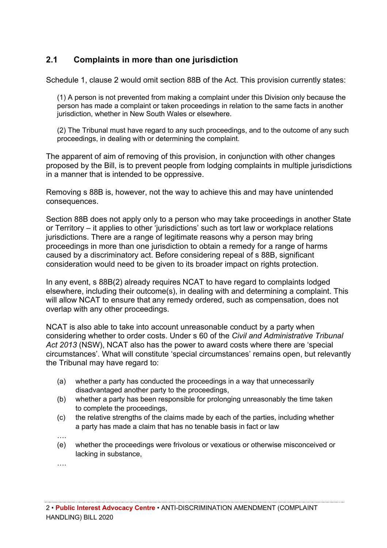### **2.1 Complaints in more than one jurisdiction**

Schedule 1, clause 2 would omit section 88B of the Act. This provision currently states:

(1) A person is not prevented from making a complaint under this Division only because the person has made a complaint or taken proceedings in relation to the same facts in another jurisdiction, whether in New South Wales or elsewhere.

(2) The Tribunal must have regard to any such proceedings, and to the outcome of any such proceedings, in dealing with or determining the complaint.

The apparent of aim of removing of this provision, in conjunction with other changes proposed by the Bill, is to prevent people from lodging complaints in multiple jurisdictions in a manner that is intended to be oppressive.

Removing s 88B is, however, not the way to achieve this and may have unintended consequences.

Section 88B does not apply only to a person who may take proceedings in another State or Territory – it applies to other 'jurisdictions' such as tort law or workplace relations jurisdictions. There are a range of legitimate reasons why a person may bring proceedings in more than one jurisdiction to obtain a remedy for a range of harms caused by a discriminatory act. Before considering repeal of s 88B, significant consideration would need to be given to its broader impact on rights protection.

In any event, s 88B(2) already requires NCAT to have regard to complaints lodged elsewhere, including their outcome(s), in dealing with and determining a complaint. This will allow NCAT to ensure that any remedy ordered, such as compensation, does not overlap with any other proceedings.

NCAT is also able to take into account unreasonable conduct by a party when considering whether to order costs. Under s 60 of the *Civil and Administrative Tribunal Act 2013* (NSW), NCAT also has the power to award costs where there are 'special circumstances'. What will constitute 'special circumstances' remains open, but relevantly the Tribunal may have regard to:

- (a) whether a party has conducted the proceedings in a way that unnecessarily disadvantaged another party to the proceedings,
- (b) whether a party has been responsible for prolonging unreasonably the time taken to complete the proceedings,
- (c) the relative strengths of the claims made by each of the parties, including whether a party has made a claim that has no tenable basis in fact or law
- ….
- (e) whether the proceedings were frivolous or vexatious or otherwise misconceived or lacking in substance,
- ….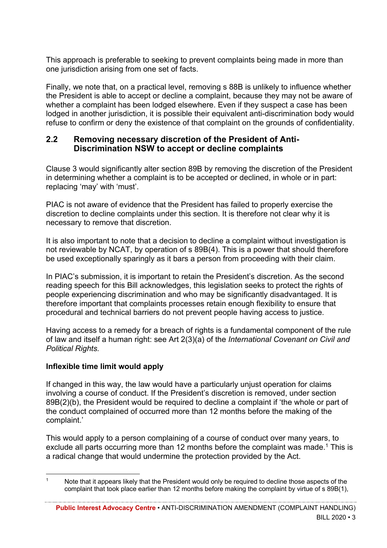This approach is preferable to seeking to prevent complaints being made in more than one jurisdiction arising from one set of facts.

Finally, we note that, on a practical level, removing s 88B is unlikely to influence whether the President is able to accept or decline a complaint, because they may not be aware of whether a complaint has been lodged elsewhere. Even if they suspect a case has been lodged in another jurisdiction, it is possible their equivalent anti-discrimination body would refuse to confirm or deny the existence of that complaint on the grounds of confidentiality.

#### **2.2 Removing necessary discretion of the President of Anti-Discrimination NSW to accept or decline complaints**

Clause 3 would significantly alter section 89B by removing the discretion of the President in determining whether a complaint is to be accepted or declined, in whole or in part: replacing 'may' with 'must'.

PIAC is not aware of evidence that the President has failed to properly exercise the discretion to decline complaints under this section. It is therefore not clear why it is necessary to remove that discretion.

It is also important to note that a decision to decline a complaint without investigation is not reviewable by NCAT, by operation of s 89B(4). This is a power that should therefore be used exceptionally sparingly as it bars a person from proceeding with their claim.

In PIAC's submission, it is important to retain the President's discretion. As the second reading speech for this Bill acknowledges, this legislation seeks to protect the rights of people experiencing discrimination and who may be significantly disadvantaged. It is therefore important that complaints processes retain enough flexibility to ensure that procedural and technical barriers do not prevent people having access to justice.

Having access to a remedy for a breach of rights is a fundamental component of the rule of law and itself a human right: see Art 2(3)(a) of the *International Covenant on Civil and Political Rights.*

#### **Inflexible time limit would apply**

If changed in this way, the law would have a particularly unjust operation for claims involving a course of conduct. If the President's discretion is removed, under section 89B(2)(b), the President would be required to decline a complaint if 'the whole or part of the conduct complained of occurred more than 12 months before the making of the complaint.'

This would apply to a person complaining of a course of conduct over many years, to exclude all parts occurring more than 12 months before the complaint was made.<sup>1</sup> This is a radical change that would undermine the protection provided by the Act.

Note that it appears likely that the President would only be required to decline those aspects of the complaint that took place earlier than 12 months before making the complaint by virtue of s 89B(1),

**Public Interest Advocacy Centre** • ANTI-DISCRIMINATION AMENDMENT (COMPLAINT HANDLING) BILL  $2020 \cdot 3$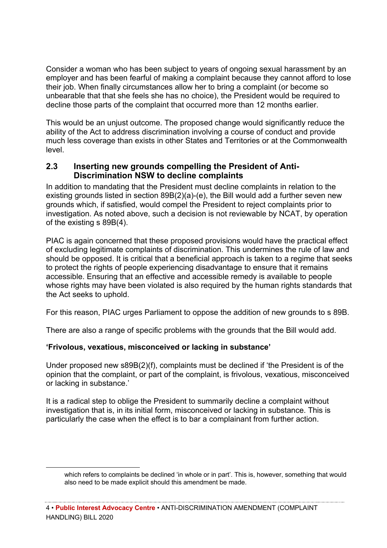Consider a woman who has been subject to years of ongoing sexual harassment by an employer and has been fearful of making a complaint because they cannot afford to lose their job. When finally circumstances allow her to bring a complaint (or become so unbearable that that she feels she has no choice), the President would be required to decline those parts of the complaint that occurred more than 12 months earlier.

This would be an unjust outcome. The proposed change would significantly reduce the ability of the Act to address discrimination involving a course of conduct and provide much less coverage than exists in other States and Territories or at the Commonwealth level.

#### **2.3 Inserting new grounds compelling the President of Anti-Discrimination NSW to decline complaints**

In addition to mandating that the President must decline complaints in relation to the existing grounds listed in section 89B(2)(a)-(e), the Bill would add a further seven new grounds which, if satisfied, would compel the President to reject complaints prior to investigation. As noted above, such a decision is not reviewable by NCAT, by operation of the existing s 89B(4).

PIAC is again concerned that these proposed provisions would have the practical effect of excluding legitimate complaints of discrimination. This undermines the rule of law and should be opposed. It is critical that a beneficial approach is taken to a regime that seeks to protect the rights of people experiencing disadvantage to ensure that it remains accessible. Ensuring that an effective and accessible remedy is available to people whose rights may have been violated is also required by the human rights standards that the Act seeks to uphold.

For this reason, PIAC urges Parliament to oppose the addition of new grounds to s 89B.

There are also a range of specific problems with the grounds that the Bill would add.

#### **'Frivolous, vexatious, misconceived or lacking in substance'**

Under proposed new s89B(2)(f), complaints must be declined if 'the President is of the opinion that the complaint, or part of the complaint, is frivolous, vexatious, misconceived or lacking in substance.'

It is a radical step to oblige the President to summarily decline a complaint without investigation that is, in its initial form, misconceived or lacking in substance. This is particularly the case when the effect is to bar a complainant from further action.

which refers to complaints be declined 'in whole or in part'. This is, however, something that would also need to be made explicit should this amendment be made.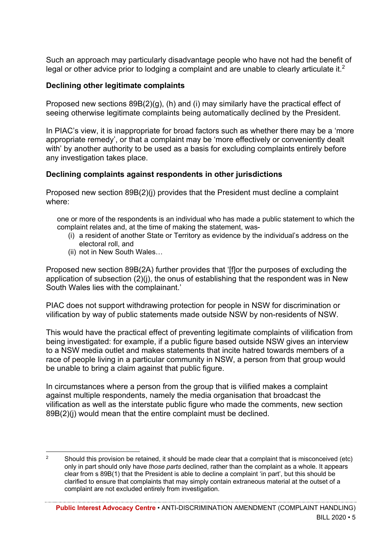Such an approach may particularly disadvantage people who have not had the benefit of legal or other advice prior to lodging a complaint and are unable to clearly articulate it.<sup>2</sup>

#### **Declining other legitimate complaints**

Proposed new sections 89B(2)(g), (h) and (i) may similarly have the practical effect of seeing otherwise legitimate complaints being automatically declined by the President.

In PIAC's view, it is inappropriate for broad factors such as whether there may be a 'more appropriate remedy', or that a complaint may be 'more effectively or conveniently dealt with' by another authority to be used as a basis for excluding complaints entirely before any investigation takes place.

#### **Declining complaints against respondents in other jurisdictions**

Proposed new section 89B(2)(j) provides that the President must decline a complaint where:

one or more of the respondents is an individual who has made a public statement to which the complaint relates and, at the time of making the statement, was-

- (i) a resident of another State or Territory as evidence by the individual's address on the electoral roll, and
- (ii) not in New South Wales…

Proposed new section 89B(2A) further provides that '[f]or the purposes of excluding the application of subsection (2)(j), the onus of establishing that the respondent was in New South Wales lies with the complainant.'

PIAC does not support withdrawing protection for people in NSW for discrimination or vilification by way of public statements made outside NSW by non-residents of NSW.

This would have the practical effect of preventing legitimate complaints of vilification from being investigated: for example, if a public figure based outside NSW gives an interview to a NSW media outlet and makes statements that incite hatred towards members of a race of people living in a particular community in NSW, a person from that group would be unable to bring a claim against that public figure.

In circumstances where a person from the group that is vilified makes a complaint against multiple respondents, namely the media organisation that broadcast the vilification as well as the interstate public figure who made the comments, new section 89B(2)(j) would mean that the entire complaint must be declined.

<sup>&</sup>lt;sup>2</sup> Should this provision be retained, it should be made clear that a complaint that is misconceived (etc) only in part should only have *those parts* declined, rather than the complaint as a whole. It appears clear from s 89B(1) that the President is able to decline a complaint 'in part', but this should be clarified to ensure that complaints that may simply contain extraneous material at the outset of a complaint are not excluded entirely from investigation.

**Public Interest Advocacy Centre** • ANTI-DISCRIMINATION AMENDMENT (COMPLAINT HANDLING) BILL 2020 • 5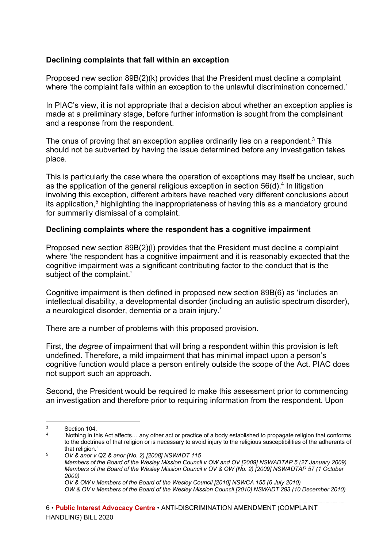#### **Declining complaints that fall within an exception**

Proposed new section 89B(2)(k) provides that the President must decline a complaint where 'the complaint falls within an exception to the unlawful discrimination concerned.'

In PIAC's view, it is not appropriate that a decision about whether an exception applies is made at a preliminary stage, before further information is sought from the complainant and a response from the respondent.

The onus of proving that an exception applies ordinarily lies on a respondent.<sup>3</sup> This should not be subverted by having the issue determined before any investigation takes place.

This is particularly the case where the operation of exceptions may itself be unclear, such as the application of the general religious exception in section  $56(d)$ <sup>4</sup> In litigation involving this exception, different arbiters have reached very different conclusions about its application, <sup>5</sup> highlighting the inappropriateness of having this as a mandatory ground for summarily dismissal of a complaint.

#### **Declining complaints where the respondent has a cognitive impairment**

Proposed new section 89B(2)(l) provides that the President must decline a complaint where 'the respondent has a cognitive impairment and it is reasonably expected that the cognitive impairment was a significant contributing factor to the conduct that is the subject of the complaint.'

Cognitive impairment is then defined in proposed new section 89B(6) as 'includes an intellectual disability, a developmental disorder (including an autistic spectrum disorder), a neurological disorder, dementia or a brain injury.'

There are a number of problems with this proposed provision.

First, the *degree* of impairment that will bring a respondent within this provision is left undefined. Therefore, a mild impairment that has minimal impact upon a person's cognitive function would place a person entirely outside the scope of the Act. PIAC does not support such an approach.

Second, the President would be required to make this assessment prior to commencing an investigation and therefore prior to requiring information from the respondent. Upon

 $3$  Section 104.

<sup>4</sup> 'Nothing in this Act affects… any other act or practice of a body established to propagate religion that conforms to the doctrines of that religion or is necessary to avoid injury to the religious susceptibilities of the adherents of that religion.' 5 *OV & anor v QZ & anor (No. 2) [2008] NSWADT 115*

*Members of the Board of the Wesley Mission Council v OW and OV [2009] NSWADTAP 5 (27 January 2009) Members of the Board of the Wesley Mission Council v OV & OW (No. 2) [2009] NSWADTAP 57 (1 October 2009) OV & OW v Members of the Board of the Wesley Council [2010] NSWCA 155 (6 July 2010) OW & OV v Members of the Board of the Wesley Mission Council [2010] NSWADT 293 (10 December 2010)*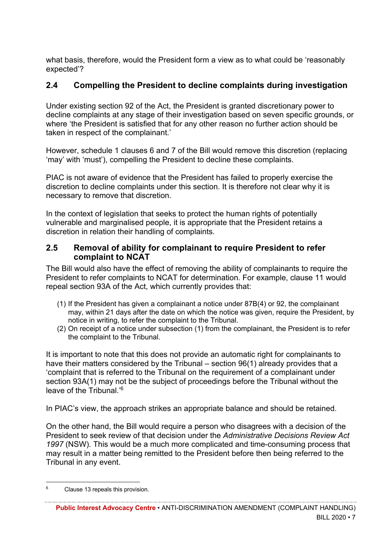what basis, therefore, would the President form a view as to what could be 'reasonably expected'?

#### **2.4 Compelling the President to decline complaints during investigation**

Under existing section 92 of the Act, the President is granted discretionary power to decline complaints at any stage of their investigation based on seven specific grounds, or where 'the President is satisfied that for any other reason no further action should be taken in respect of the complainant.'

However, schedule 1 clauses 6 and 7 of the Bill would remove this discretion (replacing 'may' with 'must'), compelling the President to decline these complaints.

PIAC is not aware of evidence that the President has failed to properly exercise the discretion to decline complaints under this section. It is therefore not clear why it is necessary to remove that discretion.

In the context of legislation that seeks to protect the human rights of potentially vulnerable and marginalised people, it is appropriate that the President retains a discretion in relation their handling of complaints.

#### **2.5 Removal of ability for complainant to require President to refer complaint to NCAT**

The Bill would also have the effect of removing the ability of complainants to require the President to refer complaints to NCAT for determination. For example, clause 11 would repeal section 93A of the Act, which currently provides that:

- (1) If the President has given a complainant a notice under 87B(4) or 92, the complainant may, within 21 days after the date on which the notice was given, require the President, by notice in writing, to refer the complaint to the Tribunal.
- (2) On receipt of a notice under subsection (1) from the complainant, the President is to refer the complaint to the Tribunal.

It is important to note that this does not provide an automatic right for complainants to have their matters considered by the Tribunal – section 96(1) already provides that a 'complaint that is referred to the Tribunal on the requirement of a complainant under section 93A(1) may not be the subject of proceedings before the Tribunal without the leave of the Tribunal.'6

In PIAC's view, the approach strikes an appropriate balance and should be retained.

On the other hand, the Bill would require a person who disagrees with a decision of the President to seek review of that decision under the *Administrative Decisions Review Act 1997* (NSW). This would be a much more complicated and time-consuming process that may result in a matter being remitted to the President before then being referred to the Tribunal in any event.

<sup>6</sup> Clause 13 repeals this provision.

**Public Interest Advocacy Centre** • ANTI-DISCRIMINATION AMENDMENT (COMPLAINT HANDLING) BILL 2020 • 7